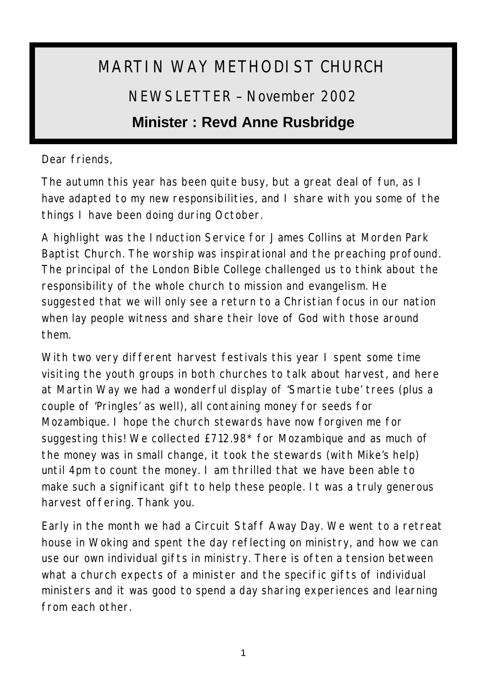# MARTIN WAY METHODIST CHURCH NEWSLETTER – November 2002

# **Minister : Revd Anne Rusbridge**

Dear friends,

The autumn this year has been quite busy, but a great deal of fun, as I have adapted to my new responsibilities, and I share with you some of the things I have been doing during October.

A highlight was the Induction Service for James Collins at Morden Park Baptist Church. The worship was inspirational and the preaching profound. The principal of the London Bible College challenged us to think about the responsibility of the whole church to mission and evangelism. He suggested that we will only see a return to a Christian focus in our nation when lay people witness and share their love of God with those around them.

With two very different harvest festivals this year I spent some time visiting the youth groups in both churches to talk about harvest, and here at Martin Way we had a wonderful display of 'Smartie tube' trees (plus a couple of 'Pringles' as well), all containing money for seeds for Mozambique. I hope the church stewards have now forgiven me for suggesting this! We collected £712.98\* for Mozambique and as much of the money was in small change, it took the stewards (with Mike's help) until 4pm to count the money. I am thrilled that we have been able to make such a significant gift to help these people. It was a truly generous harvest offering. Thank you.

Early in the month we had a Circuit Staff Away Day. We went to a retreat house in Woking and spent the day reflecting on ministry, and how we can use our own individual gifts in ministry. There is often a tension between what a church expects of a minister and the specific gifts of individual ministers and it was good to spend a day sharing experiences and learning from each other.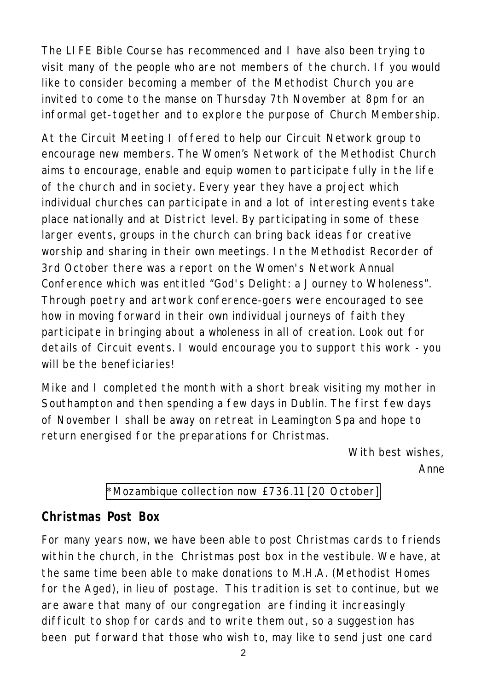The LIFE Bible Course has recommenced and I have also been trying to visit many of the people who are not members of the church. If you would like to consider becoming a member of the Methodist Church you are invited to come to the manse on Thursday 7th November at 8pm for an informal get-together and to explore the purpose of Church Membership.

At the Circuit Meeting I offered to help our Circuit Network group to encourage new members. The Women's Network of the Methodist Church aims to encourage, enable and equip women to participate fully in the life of the church and in society. Every year they have a project which individual churches can participate in and a lot of interesting events take place nationally and at District level. By participating in some of these larger events, groups in the church can bring back ideas for creative worship and sharing in their own meetings. In the Methodist Recorder of 3rd October there was a report on the Women's Network Annual Conference which was entitled "God's Delight: a Journey to Wholeness". Through poetry and artwork conference-goers were encouraged to see how in moving forward in their own individual journeys of faith they participate in bringing about a wholeness in all of creation. Look out for details of Circuit events. I would encourage you to support this work - you will be the beneficiaries!

Mike and I completed the month with a short break visiting my mother in Southampton and then spending a few days in Dublin. The first few days of November I shall be away on retreat in Leamington Spa and hope to return energised for the preparations for Christmas.

> *With best wishes, Anne*

#### \*Mozambique collection now £736.11 [20 October]

#### **Christmas Post Box**

For many years now, we have been able to post Christmas cards to friends within the church, in the Christmas post box in the vestibule. We have, at the same time been able to make donations to M.H.A. (Methodist Homes for the Aged), in lieu of postage. This tradition is set to continue, but we are aware that many of our congregation are finding it increasingly difficult to shop for cards and to write them out, so a suggestion has been put forward that those who wish to, may like to send just one card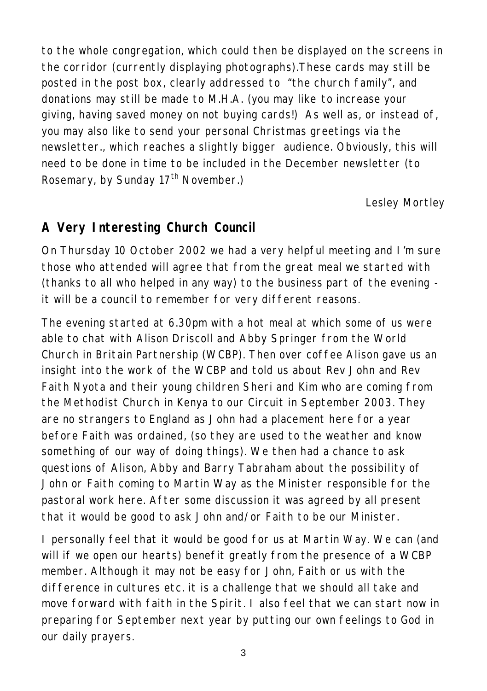to the whole congregation, which could then be displayed on the screens in the corridor (currently displaying photographs).These cards may still be posted in the post box, clearly addressed to "the church family", and donations may still be made to M.H.A. (you may like to increase your giving, having saved money on not buying cards!) As well as, or instead of, you may also like to send your personal Christmas greetings via the newsletter., which reaches a slightly bigger audience. Obviously, this will need to be done in time to be included in the December newsletter (to Rosemary, by Sunday  $17<sup>th</sup>$  November.)

*Lesley Mortley*

# **A Very Interesting Church Council**

On Thursday 10 October 2002 we had a very helpful meeting and I'm sure those who attended will agree that from the great meal we started with (thanks to all who helped in any way) to the business part of the evening it will be a council to remember for very different reasons.

The evening started at 6.30pm with a hot meal at which some of us were able to chat with Alison Driscoll and Abby Springer from the World Church in Britain Partnership (WCBP). Then over coffee Alison gave us an insight into the work of the WCBP and told us about Rev John and Rev Faith Nyota and their young children Sheri and Kim who are coming from the Methodist Church in Kenya to our Circuit in September 2003. They are no strangers to England as John had a placement here for a year before Faith was ordained, (so they are used to the weather and know something of our way of doing things). We then had a chance to ask questions of Alison, Abby and Barry Tabraham about the possibility of John or Faith coming to Martin Way as the Minister responsible for the pastoral work here. After some discussion it was agreed by all present that it would be good to ask John and/or Faith to be our Minister.

I personally feel that it would be good for us at Martin Way. We can (and will if we open our hearts) benefit greatly from the presence of a WCBP member. Although it may not be easy for John, Faith or us with the difference in cultures etc. it is a challenge that we should all take and move forward with faith in the Spirit. I also feel that we can start now in preparing for September next year by putting our own feelings to God in our daily prayers.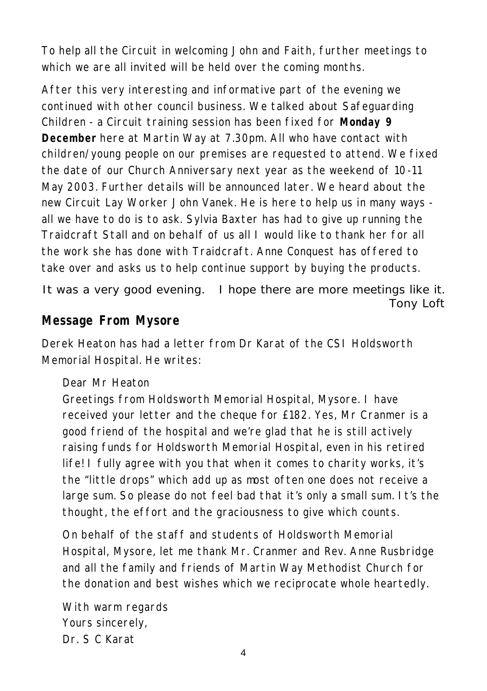To help all the Circuit in welcoming John and Faith, further meetings to which we are all invited will be held over the coming months.

After this very interesting and informative part of the evening we continued with other council business. We talked about Safeguarding Children - a Circuit training session has been fixed for **Monday 9 December** here at Martin Way at 7.30pm. All who have contact with children/young people on our premises are requested to attend. We fixed the date of our Church Anniversary next year as the weekend of 10-11 May 2003. Further details will be announced later. We heard about the new Circuit Lay Worker John Vanek. He is here to help us in many ways all we have to do is to ask. Sylvia Baxter has had to give up running the Traidcraft Stall and on behalf of us all I would like to thank her for all the work she has done with Traidcraft. Anne Conquest has offered to take over and asks us to help continue support by buying the products.

It was a very good evening. I hope there are more meetings like it. *Tony Loft*

#### **Message From Mysore**

Derek Heaton has had a letter from Dr Karat of the CSI Holdsworth Memorial Hospital. He writes:

Dear Mr Heaton

Greetings from Holdsworth Memorial Hospital, Mysore. I have received your letter and the cheque for £182. Yes, Mr Cranmer is a good friend of the hospital and we're glad that he is still actively raising funds for Holdsworth Memorial Hospital, even in his retired life! I fully agree with you that when it comes to charity works, it's the "little drops" which add up as most often one does not receive a large sum. So please do not feel bad that it's only a small sum. It's the thought, the effort and the graciousness to give which counts.

On behalf of the staff and students of Holdsworth Memorial Hospital, Mysore, let me thank Mr. Cranmer and Rev. Anne Rusbridge and all the family and friends of Martin Way Methodist Church for the donation and best wishes which we reciprocate whole heartedly.

With warm regards Yours sincerely, Dr. S C Karat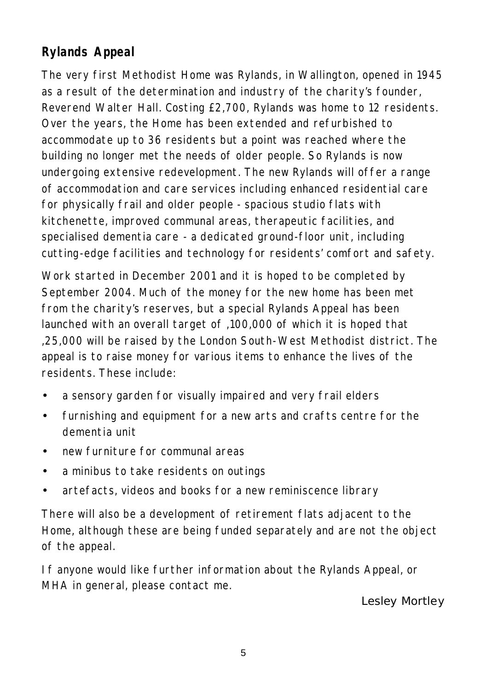# **Rylands Appeal**

The very first Methodist Home was Rylands, in Wallington, opened in 1945 as a result of the determination and industry of the charity's founder, Reverend Walter Hall. Costing £2,700, Rylands was home to 12 residents. Over the years, the Home has been extended and refurbished to accommodate up to 36 residents but a point was reached where the building no longer met the needs of older people. So Rylands is now undergoing extensive redevelopment. The new Rylands will offer a range of accommodation and care services including enhanced residential care for physically frail and older people - spacious studio flats with kitchenette, improved communal areas, therapeutic facilities, and specialised dementia care - a dedicated ground-floor unit, including cutting-edge facilities and technology for residents' comfort and safety.

Work started in December 2001 and it is hoped to be completed by September 2004. Much of the money for the new home has been met from the charity's reserves, but a special Rylands Appeal has been launched with an overall target of ,100,000 of which it is hoped that ,25,000 will be raised by the London South-West Methodist district. The appeal is to raise money for various items to enhance the lives of the residents. These include:

- a sensory garden for visually impaired and very frail elders
- furnishing and equipment for a new arts and crafts centre for the dementia unit
- new furniture for communal areas
- a minibus to take residents on outings
- artefacts, videos and books for a new reminiscence library

There will also be a development of retirement flats adjacent to the Home, although these are being funded separately and are not the object of the appeal.

If anyone would like further information about the Rylands Appeal, or MHA in general, please contact me.

*Lesley Mortley*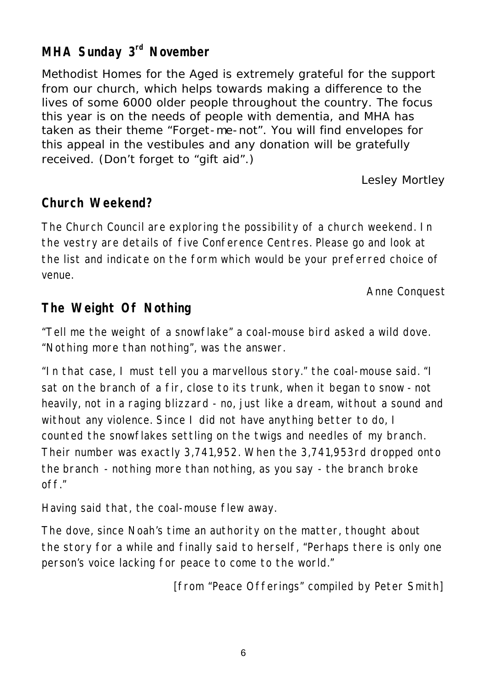# **MHA Sunday 3rd November**

Methodist Homes for the Aged is extremely grateful for the support from our church, which helps towards making a difference to the lives of some 6000 older people throughout the country. The focus this year is on the needs of people with dementia, and MHA has taken as their theme "Forget-me-not". You will find envelopes for this appeal in the vestibules and any donation will be gratefully received. (Don't forget to "gift aid".)

*Lesley Mortley*

#### **Church Weekend?**

The Church Council are exploring the possibility of a church weekend. In the vestry are details of five Conference Centres. Please go and look at the list and indicate on the form which would be your preferred choice of venue.

*Anne Conquest*

# **The Weight Of Nothing**

"Tell me the weight of a snowflake" a coal-mouse bird asked a wild dove. "Nothing more than nothing", was the answer.

"In that case, I must tell you a marvellous story." the coal-mouse said. "I sat on the branch of a fir, close to its trunk, when it began to snow - not heavily, not in a raging blizzard - no, just like a dream, without a sound and without any violence. Since I did not have anything better to do, I counted the snowflakes settling on the twigs and needles of my branch. Their number was exactly 3,741,952. When the 3,741,953rd dropped onto the branch - nothing more than nothing, as you say - the branch broke off."

Having said that, the coal-mouse flew away.

The dove, since Noah's time an authority on the matter, thought about the story for a while and finally said to herself, "Perhaps there is only one person's voice lacking for peace to come to the world."

*[from "Peace Offerings" compiled by Peter Smith]*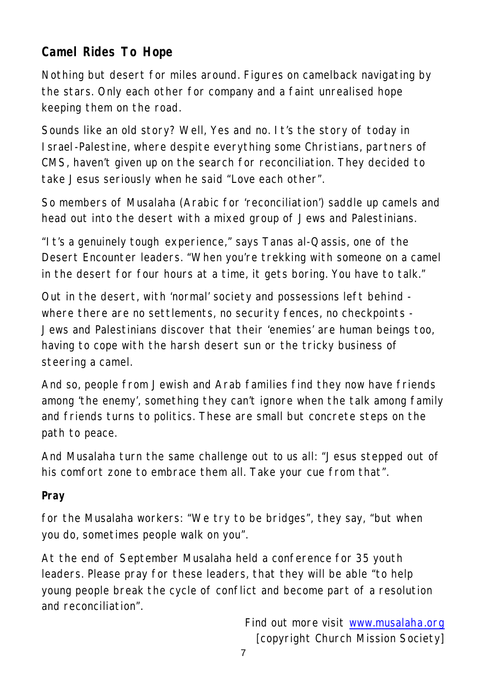# **Camel Rides To Hope**

Nothing but desert for miles around. Figures on camelback navigating by the stars. Only each other for company and a faint unrealised hope keeping them on the road.

Sounds like an old story? Well, Yes and no. It's the story of today in Israel -Palestine, where despite everything some Christians, partners of CMS, haven't given up on the search for reconciliation. They decided to take Jesus seriously when he said "Love each other".

So members of Musalaha (Arabic for 'reconciliation') saddle up camels and head out into the desert with a mixed group of Jews and Palestinians.

"It's a genuinely tough experience," says Tanas al-Qassis, one of the Desert Encounter leaders. "When you're trekking with someone on a camel in the desert for four hours at a time, it gets boring. You have to talk."

Out in the desert, with 'normal' society and possessions left behind where there are no settlements, no security fences, no checkpoints - Jews and Palestinians discover that their 'enemies' are human beings too, having to cope with the harsh desert sun or the tricky business of steering a camel.

And so, people from Jewish and Arab families find they now have friends among 'the enemy', something they can't ignore when the talk among family and friends turns to politics. These are small but concrete steps on the path to peace.

And Musalaha turn the same challenge out to us all: "Jesus stepped out of his comfort zone to embrace them all. Take your cue from that".

#### **Pray**

for the Musalaha workers: "We try to be bridges", they say, "but when you do, sometimes people walk on you".

At the end of September Musalaha held a conference for 35 youth leaders. Please pray for these leaders, that they will be able "to help young people break the cycle of conflict and become part of a resolution and reconciliation".

> *Find out more visit www.musalaha.org [copyright Church Mission Society]*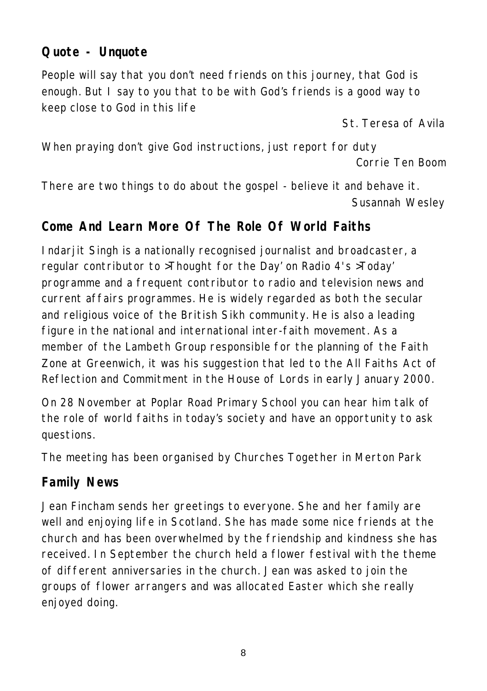# **Quote - Unquote**

People will say that you don't need friends on this journey, that God is enough. But I say to you that to be with God's friends is a good way to keep close to God in this life

*St. Teresa of Avila*

When praying don't give God instructions, just report for duty *Corrie Ten Boom*

There are two things to do about the gospel - believe it and behave it. *Susannah Wesley*

# **Come And Learn More Of The Role Of World Faiths**

Indarjit Singh is a nationally recognised journalist and broadcaster, a regular contributor to >Thought for the Day' on Radio 4's >Today' programme and a frequent contributor to radio and television news and current affairs programmes. He is widely regarded as both the secular and religious voice of the British Sikh community. He is also a leading figure in the national and international inter-faith movement. As a member of the Lambeth Group responsible for the planning of the Faith Zone at Greenwich, it was his suggestion that led to the All Faiths Act of Reflection and Commitment in the House of Lords in early January 2000.

On 28 November at Poplar Road Primary School you can hear him talk of the role of world faiths in today's society and have an opportunity to ask questions.

The meeting has been organised by Churches Together in Merton Park

#### **Family News**

Jean Fincham sends her greetings to everyone. She and her family are well and enjoying life in Scotland. She has made some nice friends at the church and has been overwhelmed by the friendship and kindness she has received. In September the church held a flower festival with the theme of different anniversaries in the church. Jean was asked to join the groups of flower arrangers and was allocated Easter which she really enjoyed doing.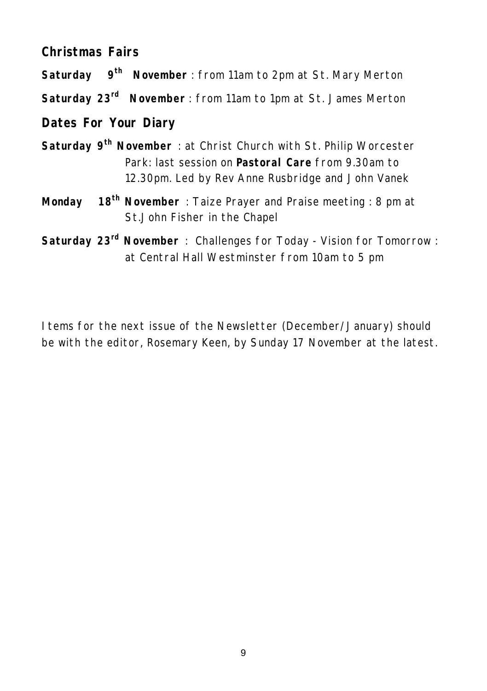#### **Christmas Fairs**

**Saturday 9th November** : from 11am to 2pm at St. Mary Merton

**Saturday 23rd November** : from 11am to 1pm at St. James Merton

#### **Dates For Your Diary**

- **Saturday 9th November** : at Christ Church with St. Philip Worcester Park: last session on **Pastoral Care** from 9.30am to 12.30pm. Led by Rev Anne Rusbridge and John Vanek
- **Monday 18th November** : Taize Prayer and Praise meeting : 8 pm at St.John Fisher in the Chapel
- **Saturday 23rd November** : Challenges for Today Vision for Tomorrow : at Central Hall Westminster from 10am to 5 pm

Items for the next issue of the Newsletter (December/January) should be with the editor, Rosemary Keen, by Sunday 17 November at the latest.